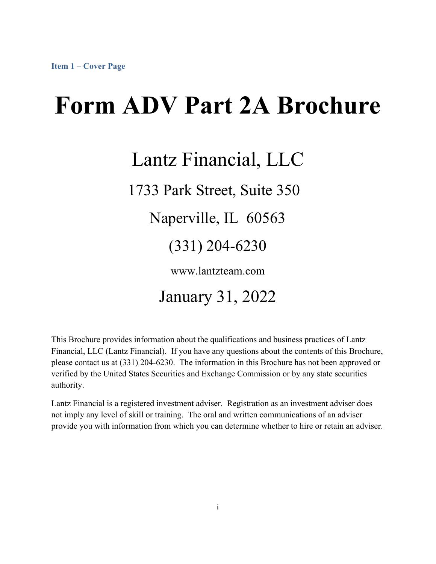# **Form ADV Part 2A Brochure**

## Lantz Financial, LLC

1733 Park Street, Suite 350

Naperville, IL 60563

(331) 204-6230

www.lantzteam.com

### January 31, 2022

This Brochure provides information about the qualifications and business practices of Lantz Financial, LLC (Lantz Financial). If you have any questions about the contents of this Brochure, please contact us at (331) 204-6230. The information in this Brochure has not been approved or verified by the United States Securities and Exchange Commission or by any state securities authority.

Lantz Financial is a registered investment adviser. Registration as an investment adviser does not imply any level of skill or training. The oral and written communications of an adviser provide you with information from which you can determine whether to hire or retain an adviser.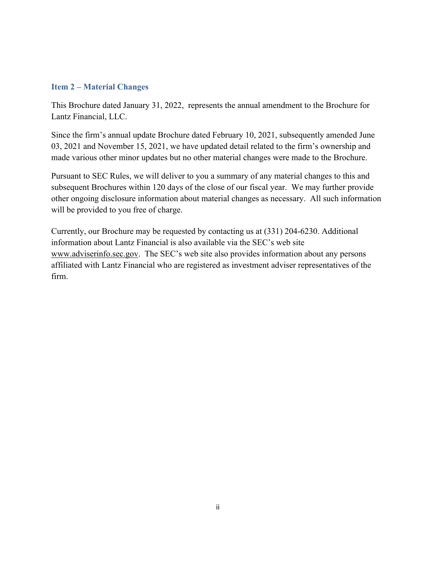#### **Item 2 – Material Changes**

This Brochure dated January 31, 2022, represents the annual amendment to the Brochure for Lantz Financial, LLC.

Since the firm's annual update Brochure dated February 10, 2021, subsequently amended June 03, 2021 and November 15, 2021, we have updated detail related to the firm's ownership and made various other minor updates but no other material changes were made to the Brochure.

Pursuant to SEC Rules, we will deliver to you a summary of any material changes to this and subsequent Brochures within 120 days of the close of our fiscal year. We may further provide other ongoing disclosure information about material changes as necessary. All such information will be provided to you free of charge.

Currently, our Brochure may be requested by contacting us at (331) 204-6230. Additional information about Lantz Financial is also available via the SEC's web site www.adviserinfo.sec.gov. The SEC's web site also provides information about any persons affiliated with Lantz Financial who are registered as investment adviser representatives of the firm.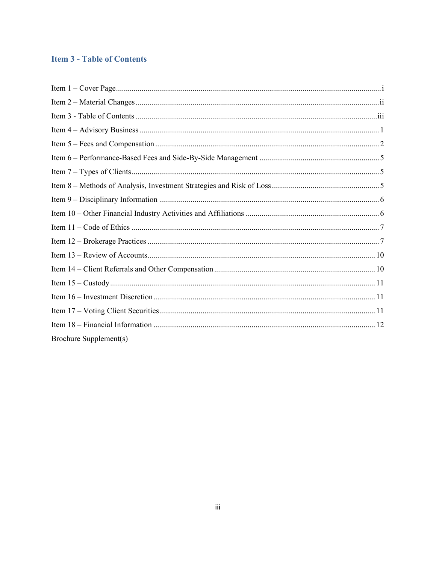#### **Item 3 - Table of Contents**

| Brochure Supplement(s) |
|------------------------|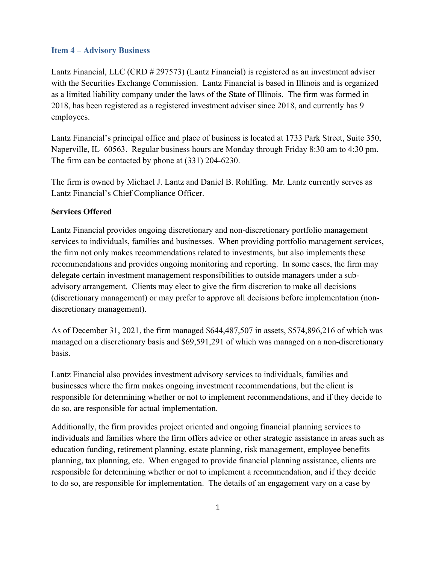#### **Item 4 – Advisory Business**

Lantz Financial, LLC (CRD # 297573) (Lantz Financial) is registered as an investment adviser with the Securities Exchange Commission. Lantz Financial is based in Illinois and is organized as a limited liability company under the laws of the State of Illinois. The firm was formed in 2018, has been registered as a registered investment adviser since 2018, and currently has 9 employees.

Lantz Financial's principal office and place of business is located at 1733 Park Street, Suite 350, Naperville, IL 60563. Regular business hours are Monday through Friday 8:30 am to 4:30 pm. The firm can be contacted by phone at (331) 204-6230.

The firm is owned by Michael J. Lantz and Daniel B. Rohlfing. Mr. Lantz currently serves as Lantz Financial's Chief Compliance Officer.

#### **Services Offered**

Lantz Financial provides ongoing discretionary and non-discretionary portfolio management services to individuals, families and businesses. When providing portfolio management services, the firm not only makes recommendations related to investments, but also implements these recommendations and provides ongoing monitoring and reporting. In some cases, the firm may delegate certain investment management responsibilities to outside managers under a subadvisory arrangement. Clients may elect to give the firm discretion to make all decisions (discretionary management) or may prefer to approve all decisions before implementation (nondiscretionary management).

As of December 31, 2021, the firm managed \$644,487,507 in assets, \$574,896,216 of which was managed on a discretionary basis and \$69,591,291 of which was managed on a non-discretionary basis.

Lantz Financial also provides investment advisory services to individuals, families and businesses where the firm makes ongoing investment recommendations, but the client is responsible for determining whether or not to implement recommendations, and if they decide to do so, are responsible for actual implementation.

Additionally, the firm provides project oriented and ongoing financial planning services to individuals and families where the firm offers advice or other strategic assistance in areas such as education funding, retirement planning, estate planning, risk management, employee benefits planning, tax planning, etc. When engaged to provide financial planning assistance, clients are responsible for determining whether or not to implement a recommendation, and if they decide to do so, are responsible for implementation. The details of an engagement vary on a case by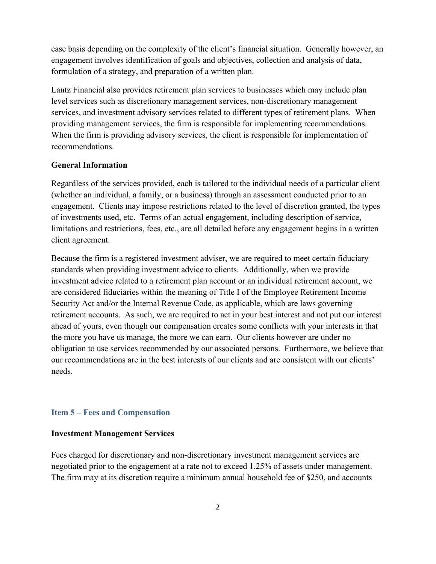case basis depending on the complexity of the client's financial situation. Generally however, an engagement involves identification of goals and objectives, collection and analysis of data, formulation of a strategy, and preparation of a written plan.

Lantz Financial also provides retirement plan services to businesses which may include plan level services such as discretionary management services, non-discretionary management services, and investment advisory services related to different types of retirement plans. When providing management services, the firm is responsible for implementing recommendations. When the firm is providing advisory services, the client is responsible for implementation of recommendations.

#### **General Information**

Regardless of the services provided, each is tailored to the individual needs of a particular client (whether an individual, a family, or a business) through an assessment conducted prior to an engagement. Clients may impose restrictions related to the level of discretion granted, the types of investments used, etc. Terms of an actual engagement, including description of service, limitations and restrictions, fees, etc., are all detailed before any engagement begins in a written client agreement.

Because the firm is a registered investment adviser, we are required to meet certain fiduciary standards when providing investment advice to clients. Additionally, when we provide investment advice related to a retirement plan account or an individual retirement account, we are considered fiduciaries within the meaning of Title I of the Employee Retirement Income Security Act and/or the Internal Revenue Code, as applicable, which are laws governing retirement accounts. As such, we are required to act in your best interest and not put our interest ahead of yours, even though our compensation creates some conflicts with your interests in that the more you have us manage, the more we can earn. Our clients however are under no obligation to use services recommended by our associated persons. Furthermore, we believe that our recommendations are in the best interests of our clients and are consistent with our clients' needs.

#### **Item 5 – Fees and Compensation**

#### **Investment Management Services**

Fees charged for discretionary and non-discretionary investment management services are negotiated prior to the engagement at a rate not to exceed 1.25% of assets under management. The firm may at its discretion require a minimum annual household fee of \$250, and accounts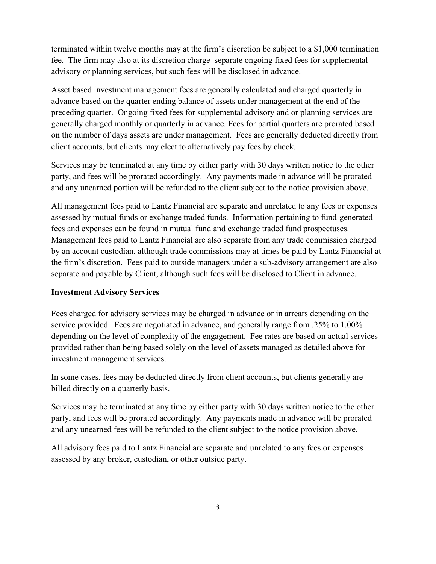terminated within twelve months may at the firm's discretion be subject to a \$1,000 termination fee. The firm may also at its discretion charge separate ongoing fixed fees for supplemental advisory or planning services, but such fees will be disclosed in advance.

Asset based investment management fees are generally calculated and charged quarterly in advance based on the quarter ending balance of assets under management at the end of the preceding quarter. Ongoing fixed fees for supplemental advisory and or planning services are generally charged monthly or quarterly in advance. Fees for partial quarters are prorated based on the number of days assets are under management. Fees are generally deducted directly from client accounts, but clients may elect to alternatively pay fees by check.

Services may be terminated at any time by either party with 30 days written notice to the other party, and fees will be prorated accordingly. Any payments made in advance will be prorated and any unearned portion will be refunded to the client subject to the notice provision above.

All management fees paid to Lantz Financial are separate and unrelated to any fees or expenses assessed by mutual funds or exchange traded funds. Information pertaining to fund-generated fees and expenses can be found in mutual fund and exchange traded fund prospectuses. Management fees paid to Lantz Financial are also separate from any trade commission charged by an account custodian, although trade commissions may at times be paid by Lantz Financial at the firm's discretion. Fees paid to outside managers under a sub-advisory arrangement are also separate and payable by Client, although such fees will be disclosed to Client in advance.

#### **Investment Advisory Services**

Fees charged for advisory services may be charged in advance or in arrears depending on the service provided. Fees are negotiated in advance, and generally range from .25% to 1.00% depending on the level of complexity of the engagement. Fee rates are based on actual services provided rather than being based solely on the level of assets managed as detailed above for investment management services.

In some cases, fees may be deducted directly from client accounts, but clients generally are billed directly on a quarterly basis.

Services may be terminated at any time by either party with 30 days written notice to the other party, and fees will be prorated accordingly. Any payments made in advance will be prorated and any unearned fees will be refunded to the client subject to the notice provision above.

All advisory fees paid to Lantz Financial are separate and unrelated to any fees or expenses assessed by any broker, custodian, or other outside party.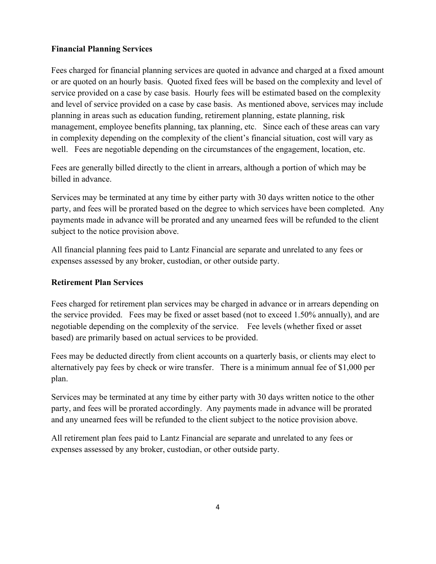#### **Financial Planning Services**

Fees charged for financial planning services are quoted in advance and charged at a fixed amount or are quoted on an hourly basis. Quoted fixed fees will be based on the complexity and level of service provided on a case by case basis. Hourly fees will be estimated based on the complexity and level of service provided on a case by case basis. As mentioned above, services may include planning in areas such as education funding, retirement planning, estate planning, risk management, employee benefits planning, tax planning, etc. Since each of these areas can vary in complexity depending on the complexity of the client's financial situation, cost will vary as well. Fees are negotiable depending on the circumstances of the engagement, location, etc.

Fees are generally billed directly to the client in arrears, although a portion of which may be billed in advance.

Services may be terminated at any time by either party with 30 days written notice to the other party, and fees will be prorated based on the degree to which services have been completed. Any payments made in advance will be prorated and any unearned fees will be refunded to the client subject to the notice provision above.

All financial planning fees paid to Lantz Financial are separate and unrelated to any fees or expenses assessed by any broker, custodian, or other outside party.

#### **Retirement Plan Services**

Fees charged for retirement plan services may be charged in advance or in arrears depending on the service provided. Fees may be fixed or asset based (not to exceed 1.50% annually), and are negotiable depending on the complexity of the service. Fee levels (whether fixed or asset based) are primarily based on actual services to be provided.

Fees may be deducted directly from client accounts on a quarterly basis, or clients may elect to alternatively pay fees by check or wire transfer. There is a minimum annual fee of \$1,000 per plan.

Services may be terminated at any time by either party with 30 days written notice to the other party, and fees will be prorated accordingly. Any payments made in advance will be prorated and any unearned fees will be refunded to the client subject to the notice provision above.

All retirement plan fees paid to Lantz Financial are separate and unrelated to any fees or expenses assessed by any broker, custodian, or other outside party.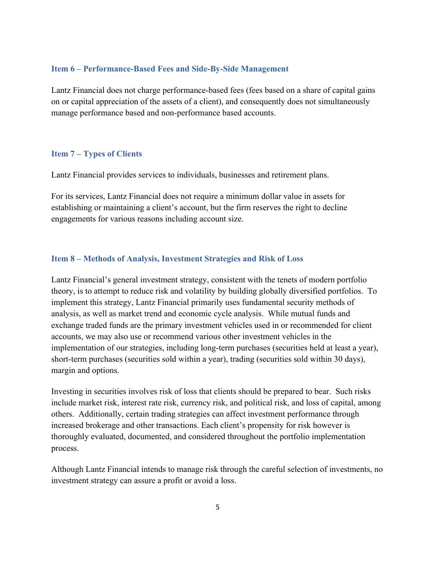#### **Item 6 – Performance-Based Fees and Side-By-Side Management**

Lantz Financial does not charge performance-based fees (fees based on a share of capital gains on or capital appreciation of the assets of a client), and consequently does not simultaneously manage performance based and non-performance based accounts.

#### **Item 7 – Types of Clients**

Lantz Financial provides services to individuals, businesses and retirement plans.

For its services, Lantz Financial does not require a minimum dollar value in assets for establishing or maintaining a client's account, but the firm reserves the right to decline engagements for various reasons including account size.

#### **Item 8 – Methods of Analysis, Investment Strategies and Risk of Loss**

Lantz Financial's general investment strategy, consistent with the tenets of modern portfolio theory, is to attempt to reduce risk and volatility by building globally diversified portfolios. To implement this strategy, Lantz Financial primarily uses fundamental security methods of analysis, as well as market trend and economic cycle analysis. While mutual funds and exchange traded funds are the primary investment vehicles used in or recommended for client accounts, we may also use or recommend various other investment vehicles in the implementation of our strategies, including long-term purchases (securities held at least a year), short-term purchases (securities sold within a year), trading (securities sold within 30 days), margin and options.

Investing in securities involves risk of loss that clients should be prepared to bear. Such risks include market risk, interest rate risk, currency risk, and political risk, and loss of capital, among others. Additionally, certain trading strategies can affect investment performance through increased brokerage and other transactions. Each client's propensity for risk however is thoroughly evaluated, documented, and considered throughout the portfolio implementation process.

Although Lantz Financial intends to manage risk through the careful selection of investments, no investment strategy can assure a profit or avoid a loss.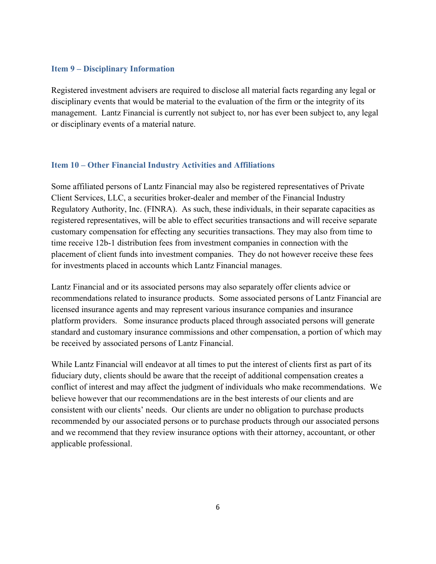#### **Item 9 – Disciplinary Information**

Registered investment advisers are required to disclose all material facts regarding any legal or disciplinary events that would be material to the evaluation of the firm or the integrity of its management. Lantz Financial is currently not subject to, nor has ever been subject to, any legal or disciplinary events of a material nature.

#### **Item 10 – Other Financial Industry Activities and Affiliations**

Some affiliated persons of Lantz Financial may also be registered representatives of Private Client Services, LLC, a securities broker-dealer and member of the Financial Industry Regulatory Authority, Inc. (FINRA). As such, these individuals, in their separate capacities as registered representatives, will be able to effect securities transactions and will receive separate customary compensation for effecting any securities transactions. They may also from time to time receive 12b-1 distribution fees from investment companies in connection with the placement of client funds into investment companies. They do not however receive these fees for investments placed in accounts which Lantz Financial manages.

Lantz Financial and or its associated persons may also separately offer clients advice or recommendations related to insurance products. Some associated persons of Lantz Financial are licensed insurance agents and may represent various insurance companies and insurance platform providers. Some insurance products placed through associated persons will generate standard and customary insurance commissions and other compensation, a portion of which may be received by associated persons of Lantz Financial.

While Lantz Financial will endeavor at all times to put the interest of clients first as part of its fiduciary duty, clients should be aware that the receipt of additional compensation creates a conflict of interest and may affect the judgment of individuals who make recommendations. We believe however that our recommendations are in the best interests of our clients and are consistent with our clients' needs. Our clients are under no obligation to purchase products recommended by our associated persons or to purchase products through our associated persons and we recommend that they review insurance options with their attorney, accountant, or other applicable professional.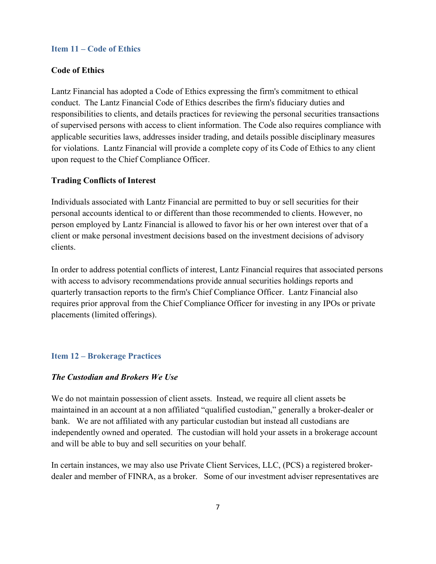#### **Item 11 – Code of Ethics**

#### **Code of Ethics**

Lantz Financial has adopted a Code of Ethics expressing the firm's commitment to ethical conduct. The Lantz Financial Code of Ethics describes the firm's fiduciary duties and responsibilities to clients, and details practices for reviewing the personal securities transactions of supervised persons with access to client information. The Code also requires compliance with applicable securities laws, addresses insider trading, and details possible disciplinary measures for violations. Lantz Financial will provide a complete copy of its Code of Ethics to any client upon request to the Chief Compliance Officer.

#### **Trading Conflicts of Interest**

Individuals associated with Lantz Financial are permitted to buy or sell securities for their personal accounts identical to or different than those recommended to clients. However, no person employed by Lantz Financial is allowed to favor his or her own interest over that of a client or make personal investment decisions based on the investment decisions of advisory clients.

In order to address potential conflicts of interest, Lantz Financial requires that associated persons with access to advisory recommendations provide annual securities holdings reports and quarterly transaction reports to the firm's Chief Compliance Officer. Lantz Financial also requires prior approval from the Chief Compliance Officer for investing in any IPOs or private placements (limited offerings).

#### **Item 12 – Brokerage Practices**

#### *The Custodian and Brokers We Use*

We do not maintain possession of client assets. Instead, we require all client assets be maintained in an account at a non affiliated "qualified custodian," generally a broker-dealer or bank. We are not affiliated with any particular custodian but instead all custodians are independently owned and operated. The custodian will hold your assets in a brokerage account and will be able to buy and sell securities on your behalf.

In certain instances, we may also use Private Client Services, LLC, (PCS) a registered brokerdealer and member of FINRA, as a broker. Some of our investment adviser representatives are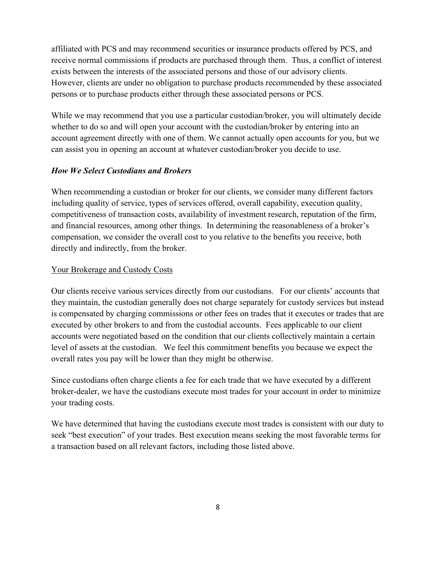affiliated with PCS and may recommend securities or insurance products offered by PCS, and receive normal commissions if products are purchased through them. Thus, a conflict of interest exists between the interests of the associated persons and those of our advisory clients. However, clients are under no obligation to purchase products recommended by these associated persons or to purchase products either through these associated persons or PCS.

While we may recommend that you use a particular custodian/broker, you will ultimately decide whether to do so and will open your account with the custodian/broker by entering into an account agreement directly with one of them. We cannot actually open accounts for you, but we can assist you in opening an account at whatever custodian/broker you decide to use.

#### *How We Select Custodians and Brokers*

When recommending a custodian or broker for our clients, we consider many different factors including quality of service, types of services offered, overall capability, execution quality, competitiveness of transaction costs, availability of investment research, reputation of the firm, and financial resources, among other things. In determining the reasonableness of a broker's compensation, we consider the overall cost to you relative to the benefits you receive, both directly and indirectly, from the broker.

#### Your Brokerage and Custody Costs

Our clients receive various services directly from our custodians. For our clients' accounts that they maintain, the custodian generally does not charge separately for custody services but instead is compensated by charging commissions or other fees on trades that it executes or trades that are executed by other brokers to and from the custodial accounts. Fees applicable to our client accounts were negotiated based on the condition that our clients collectively maintain a certain level of assets at the custodian. We feel this commitment benefits you because we expect the overall rates you pay will be lower than they might be otherwise.

Since custodians often charge clients a fee for each trade that we have executed by a different broker-dealer, we have the custodians execute most trades for your account in order to minimize your trading costs.

We have determined that having the custodians execute most trades is consistent with our duty to seek "best execution" of your trades. Best execution means seeking the most favorable terms for a transaction based on all relevant factors, including those listed above.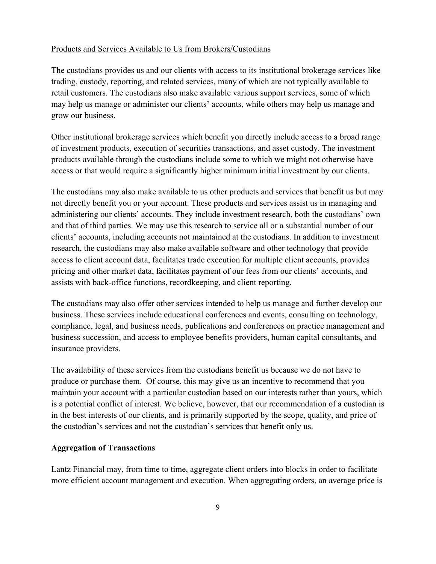#### Products and Services Available to Us from Brokers/Custodians

The custodians provides us and our clients with access to its institutional brokerage services like trading, custody, reporting, and related services, many of which are not typically available to retail customers. The custodians also make available various support services, some of which may help us manage or administer our clients' accounts, while others may help us manage and grow our business.

Other institutional brokerage services which benefit you directly include access to a broad range of investment products, execution of securities transactions, and asset custody. The investment products available through the custodians include some to which we might not otherwise have access or that would require a significantly higher minimum initial investment by our clients.

The custodians may also make available to us other products and services that benefit us but may not directly benefit you or your account. These products and services assist us in managing and administering our clients' accounts. They include investment research, both the custodians' own and that of third parties. We may use this research to service all or a substantial number of our clients' accounts, including accounts not maintained at the custodians. In addition to investment research, the custodians may also make available software and other technology that provide access to client account data, facilitates trade execution for multiple client accounts, provides pricing and other market data, facilitates payment of our fees from our clients' accounts, and assists with back-office functions, recordkeeping, and client reporting.

The custodians may also offer other services intended to help us manage and further develop our business. These services include educational conferences and events, consulting on technology, compliance, legal, and business needs, publications and conferences on practice management and business succession, and access to employee benefits providers, human capital consultants, and insurance providers.

The availability of these services from the custodians benefit us because we do not have to produce or purchase them. Of course, this may give us an incentive to recommend that you maintain your account with a particular custodian based on our interests rather than yours, which is a potential conflict of interest. We believe, however, that our recommendation of a custodian is in the best interests of our clients, and is primarily supported by the scope, quality, and price of the custodian's services and not the custodian's services that benefit only us.

#### **Aggregation of Transactions**

Lantz Financial may, from time to time, aggregate client orders into blocks in order to facilitate more efficient account management and execution. When aggregating orders, an average price is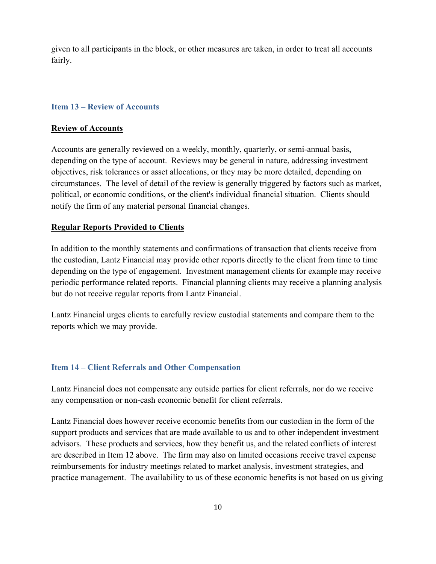given to all participants in the block, or other measures are taken, in order to treat all accounts fairly.

#### **Item 13 – Review of Accounts**

#### **Review of Accounts**

Accounts are generally reviewed on a weekly, monthly, quarterly, or semi-annual basis, depending on the type of account. Reviews may be general in nature, addressing investment objectives, risk tolerances or asset allocations, or they may be more detailed, depending on circumstances. The level of detail of the review is generally triggered by factors such as market, political, or economic conditions, or the client's individual financial situation. Clients should notify the firm of any material personal financial changes.

#### **Regular Reports Provided to Clients**

In addition to the monthly statements and confirmations of transaction that clients receive from the custodian, Lantz Financial may provide other reports directly to the client from time to time depending on the type of engagement. Investment management clients for example may receive periodic performance related reports. Financial planning clients may receive a planning analysis but do not receive regular reports from Lantz Financial.

Lantz Financial urges clients to carefully review custodial statements and compare them to the reports which we may provide.

#### **Item 14 – Client Referrals and Other Compensation**

Lantz Financial does not compensate any outside parties for client referrals, nor do we receive any compensation or non-cash economic benefit for client referrals.

Lantz Financial does however receive economic benefits from our custodian in the form of the support products and services that are made available to us and to other independent investment advisors. These products and services, how they benefit us, and the related conflicts of interest are described in Item 12 above. The firm may also on limited occasions receive travel expense reimbursements for industry meetings related to market analysis, investment strategies, and practice management. The availability to us of these economic benefits is not based on us giving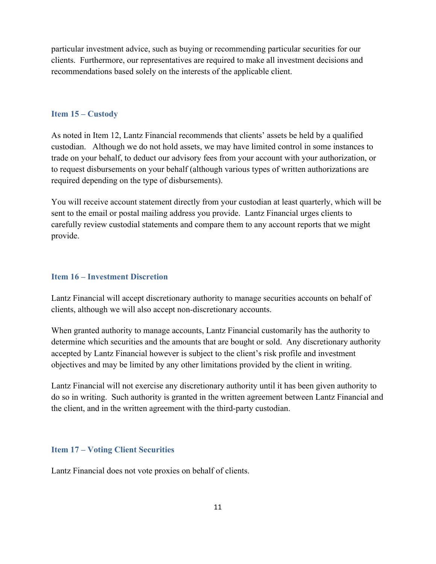particular investment advice, such as buying or recommending particular securities for our clients. Furthermore, our representatives are required to make all investment decisions and recommendations based solely on the interests of the applicable client.

#### **Item 15 – Custody**

As noted in Item 12, Lantz Financial recommends that clients' assets be held by a qualified custodian. Although we do not hold assets, we may have limited control in some instances to trade on your behalf, to deduct our advisory fees from your account with your authorization, or to request disbursements on your behalf (although various types of written authorizations are required depending on the type of disbursements).

You will receive account statement directly from your custodian at least quarterly, which will be sent to the email or postal mailing address you provide. Lantz Financial urges clients to carefully review custodial statements and compare them to any account reports that we might provide.

#### **Item 16 – Investment Discretion**

Lantz Financial will accept discretionary authority to manage securities accounts on behalf of clients, although we will also accept non-discretionary accounts.

When granted authority to manage accounts, Lantz Financial customarily has the authority to determine which securities and the amounts that are bought or sold. Any discretionary authority accepted by Lantz Financial however is subject to the client's risk profile and investment objectives and may be limited by any other limitations provided by the client in writing.

Lantz Financial will not exercise any discretionary authority until it has been given authority to do so in writing. Such authority is granted in the written agreement between Lantz Financial and the client, and in the written agreement with the third-party custodian.

#### **Item 17 – Voting Client Securities**

Lantz Financial does not vote proxies on behalf of clients.